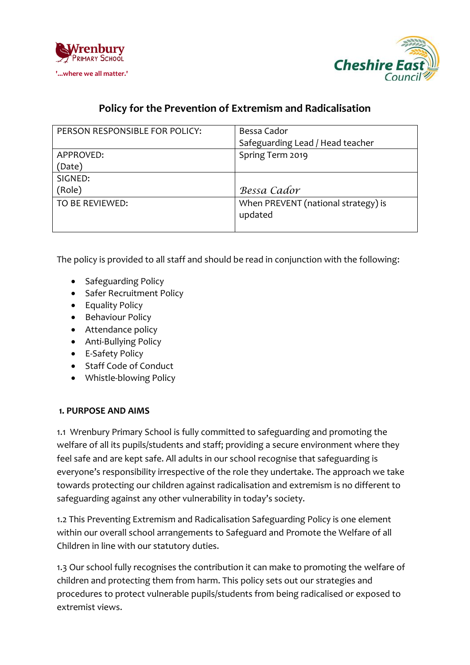



# **Policy for the Prevention of Extremism and Radicalisation**

| PERSON RESPONSIBLE FOR POLICY: | Bessa Cador                         |
|--------------------------------|-------------------------------------|
|                                | Safeguarding Lead / Head teacher    |
| APPROVED:                      | Spring Term 2019                    |
| (Date)                         |                                     |
| SIGNED:                        |                                     |
| (Role)                         | Bessa Cador                         |
| TO BE REVIEWED:                | When PREVENT (national strategy) is |
|                                | updated                             |
|                                |                                     |

The policy is provided to all staff and should be read in conjunction with the following:

- Safeguarding Policy
- Safer Recruitment Policy
- Equality Policy
- Behaviour Policy
- Attendance policy
- Anti-Bullying Policy
- E-Safety Policy
- Staff Code of Conduct
- Whistle-blowing Policy

#### **1. PURPOSE AND AIMS**

1.1 Wrenbury Primary School is fully committed to safeguarding and promoting the welfare of all its pupils/students and staff; providing a secure environment where they feel safe and are kept safe. All adults in our school recognise that safeguarding is everyone's responsibility irrespective of the role they undertake. The approach we take towards protecting our children against radicalisation and extremism is no different to safeguarding against any other vulnerability in today's society.

1.2 This Preventing Extremism and Radicalisation Safeguarding Policy is one element within our overall school arrangements to Safeguard and Promote the Welfare of all Children in line with our statutory duties.

1.3 Our school fully recognises the contribution it can make to promoting the welfare of children and protecting them from harm. This policy sets out our strategies and procedures to protect vulnerable pupils/students from being radicalised or exposed to extremist views.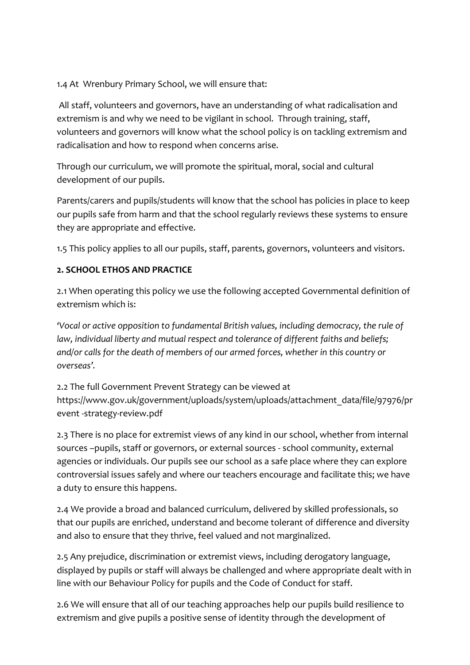### 1.4 At Wrenbury Primary School, we will ensure that:

All staff, volunteers and governors, have an understanding of what radicalisation and extremism is and why we need to be vigilant in school. Through training, staff, volunteers and governors will know what the school policy is on tackling extremism and radicalisation and how to respond when concerns arise.

Through our curriculum, we will promote the spiritual, moral, social and cultural development of our pupils.

Parents/carers and pupils/students will know that the school has policies in place to keep our pupils safe from harm and that the school regularly reviews these systems to ensure they are appropriate and effective.

1.5 This policy applies to all our pupils, staff, parents, governors, volunteers and visitors.

### **2. SCHOOL ETHOS AND PRACTICE**

2.1 When operating this policy we use the following accepted Governmental definition of extremism which is:

*'Vocal or active opposition to fundamental British values, including democracy, the rule of law, individual liberty and mutual respect and tolerance of different faiths and beliefs; and/or calls for the death of members of our armed forces, whether in this country or overseas'.* 

2.2 The full Government Prevent Strategy can be viewed at https://www.gov.uk/government/uploads/system/uploads/attachment\_data/file/97976/pr event -strategy-review.pdf

2.3 There is no place for extremist views of any kind in our school, whether from internal sources –pupils, staff or governors, or external sources - school community, external agencies or individuals. Our pupils see our school as a safe place where they can explore controversial issues safely and where our teachers encourage and facilitate this; we have a duty to ensure this happens.

2.4 We provide a broad and balanced curriculum, delivered by skilled professionals, so that our pupils are enriched, understand and become tolerant of difference and diversity and also to ensure that they thrive, feel valued and not marginalized.

2.5 Any prejudice, discrimination or extremist views, including derogatory language, displayed by pupils or staff will always be challenged and where appropriate dealt with in line with our Behaviour Policy for pupils and the Code of Conduct for staff.

2.6 We will ensure that all of our teaching approaches help our pupils build resilience to extremism and give pupils a positive sense of identity through the development of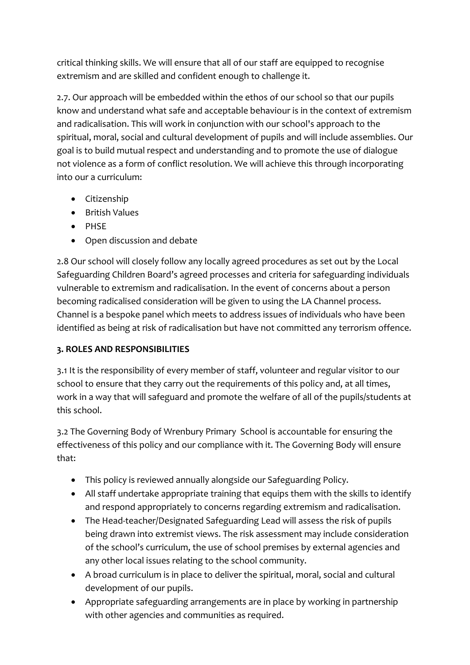critical thinking skills. We will ensure that all of our staff are equipped to recognise extremism and are skilled and confident enough to challenge it.

2.7. Our approach will be embedded within the ethos of our school so that our pupils know and understand what safe and acceptable behaviour is in the context of extremism and radicalisation. This will work in conjunction with our school's approach to the spiritual, moral, social and cultural development of pupils and will include assemblies. Our goal is to build mutual respect and understanding and to promote the use of dialogue not violence as a form of conflict resolution. We will achieve this through incorporating into our a curriculum:

- Citizenship
- **•** British Values
- PHSE
- Open discussion and debate

2.8 Our school will closely follow any locally agreed procedures as set out by the Local Safeguarding Children Board's agreed processes and criteria for safeguarding individuals vulnerable to extremism and radicalisation. In the event of concerns about a person becoming radicalised consideration will be given to using the LA Channel process. Channel is a bespoke panel which meets to address issues of individuals who have been identified as being at risk of radicalisation but have not committed any terrorism offence.

### **3. ROLES AND RESPONSIBILITIES**

3.1 It is the responsibility of every member of staff, volunteer and regular visitor to our school to ensure that they carry out the requirements of this policy and, at all times, work in a way that will safeguard and promote the welfare of all of the pupils/students at this school.

3.2 The Governing Body of Wrenbury Primary School is accountable for ensuring the effectiveness of this policy and our compliance with it. The Governing Body will ensure that:

- This policy is reviewed annually alongside our Safeguarding Policy.
- All staff undertake appropriate training that equips them with the skills to identify and respond appropriately to concerns regarding extremism and radicalisation.
- The Head-teacher/Designated Safeguarding Lead will assess the risk of pupils being drawn into extremist views. The risk assessment may include consideration of the school's curriculum, the use of school premises by external agencies and any other local issues relating to the school community.
- A broad curriculum is in place to deliver the spiritual, moral, social and cultural development of our pupils.
- Appropriate safeguarding arrangements are in place by working in partnership with other agencies and communities as required.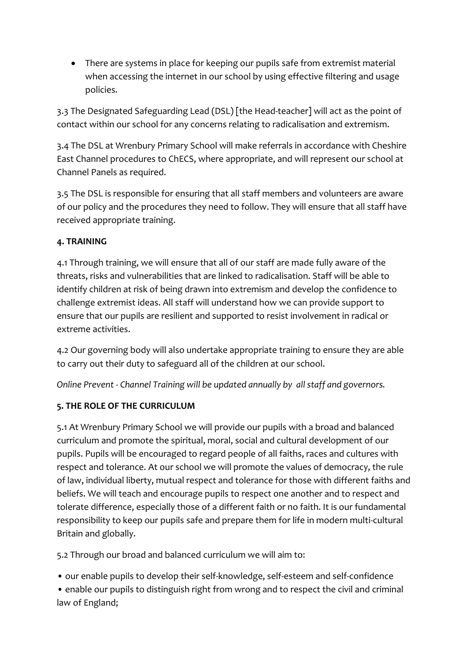There are systems in place for keeping our pupils safe from extremist material when accessing the internet in our school by using effective filtering and usage policies.

3.3 The Designated Safeguarding Lead (DSL) [the Head-teacher] will act as the point of contact within our school for any concerns relating to radicalisation and extremism.

3.4 The DSL at Wrenbury Primary School will make referrals in accordance with Cheshire East Channel procedures to ChECS, where appropriate, and will represent our school at Channel Panels as required.

3.5 The DSL is responsible for ensuring that all staff members and volunteers are aware of our policy and the procedures they need to follow. They will ensure that all staff have received appropriate training.

### **4. TRAINING**

4.1 Through training, we will ensure that all of our staff are made fully aware of the threats, risks and vulnerabilities that are linked to radicalisation. Staff will be able to identify children at risk of being drawn into extremism and develop the confidence to challenge extremist ideas. All staff will understand how we can provide support to ensure that our pupils are resilient and supported to resist involvement in radical or extreme activities.

4.2 Our governing body will also undertake appropriate training to ensure they are able to carry out their duty to safeguard all of the children at our school.

*Online Prevent - Channel Training will be updated annually by all staff and governors.*

## **5. THE ROLE OF THE CURRICULUM**

5.1 At Wrenbury Primary School we will provide our pupils with a broad and balanced curriculum and promote the spiritual, moral, social and cultural development of our pupils. Pupils will be encouraged to regard people of all faiths, races and cultures with respect and tolerance. At our school we will promote the values of democracy, the rule of law, individual liberty, mutual respect and tolerance for those with different faiths and beliefs. We will teach and encourage pupils to respect one another and to respect and tolerate difference, especially those of a different faith or no faith. It is our fundamental responsibility to keep our pupils safe and prepare them for life in modern multi-cultural Britain and globally.

5.2 Through our broad and balanced curriculum we will aim to:

• our enable pupils to develop their self-knowledge, self-esteem and self-confidence

• enable our pupils to distinguish right from wrong and to respect the civil and criminal law of England;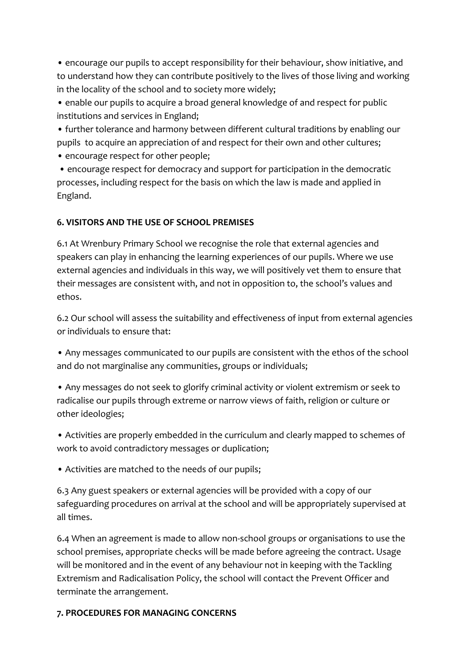• encourage our pupils to accept responsibility for their behaviour, show initiative, and to understand how they can contribute positively to the lives of those living and working in the locality of the school and to society more widely;

• enable our pupils to acquire a broad general knowledge of and respect for public institutions and services in England;

• further tolerance and harmony between different cultural traditions by enabling our pupils to acquire an appreciation of and respect for their own and other cultures;

• encourage respect for other people;

• encourage respect for democracy and support for participation in the democratic processes, including respect for the basis on which the law is made and applied in England.

### **6. VISITORS AND THE USE OF SCHOOL PREMISES**

6.1 At Wrenbury Primary School we recognise the role that external agencies and speakers can play in enhancing the learning experiences of our pupils. Where we use external agencies and individuals in this way, we will positively vet them to ensure that their messages are consistent with, and not in opposition to, the school's values and ethos.

6.2 Our school will assess the suitability and effectiveness of input from external agencies or individuals to ensure that:

• Any messages communicated to our pupils are consistent with the ethos of the school and do not marginalise any communities, groups or individuals;

• Any messages do not seek to glorify criminal activity or violent extremism or seek to radicalise our pupils through extreme or narrow views of faith, religion or culture or other ideologies;

• Activities are properly embedded in the curriculum and clearly mapped to schemes of work to avoid contradictory messages or duplication;

• Activities are matched to the needs of our pupils;

6.3 Any guest speakers or external agencies will be provided with a copy of our safeguarding procedures on arrival at the school and will be appropriately supervised at all times.

6.4 When an agreement is made to allow non-school groups or organisations to use the school premises, appropriate checks will be made before agreeing the contract. Usage will be monitored and in the event of any behaviour not in keeping with the Tackling Extremism and Radicalisation Policy, the school will contact the Prevent Officer and terminate the arrangement.

#### **7. PROCEDURES FOR MANAGING CONCERNS**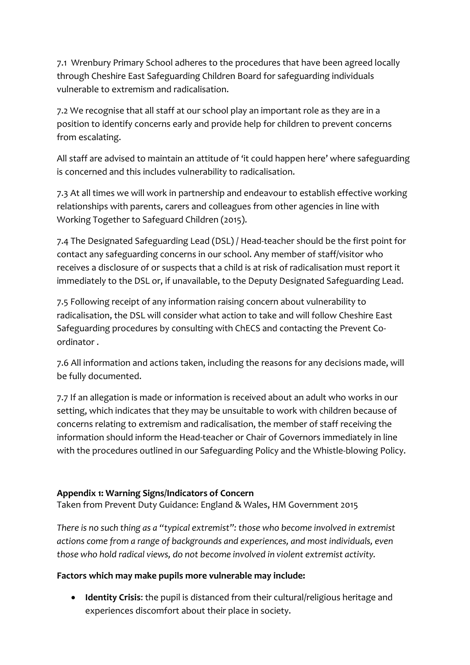7.1 Wrenbury Primary School adheres to the procedures that have been agreed locally through Cheshire East Safeguarding Children Board for safeguarding individuals vulnerable to extremism and radicalisation.

7.2 We recognise that all staff at our school play an important role as they are in a position to identify concerns early and provide help for children to prevent concerns from escalating.

All staff are advised to maintain an attitude of 'it could happen here' where safeguarding is concerned and this includes vulnerability to radicalisation.

7.3 At all times we will work in partnership and endeavour to establish effective working relationships with parents, carers and colleagues from other agencies in line with Working Together to Safeguard Children (2015).

7.4 The Designated Safeguarding Lead (DSL) / Head-teacher should be the first point for contact any safeguarding concerns in our school. Any member of staff/visitor who receives a disclosure of or suspects that a child is at risk of radicalisation must report it immediately to the DSL or, if unavailable, to the Deputy Designated Safeguarding Lead.

7.5 Following receipt of any information raising concern about vulnerability to radicalisation, the DSL will consider what action to take and will follow Cheshire East Safeguarding procedures by consulting with ChECS and contacting the Prevent Coordinator .

7.6 All information and actions taken, including the reasons for any decisions made, will be fully documented.

7.7 If an allegation is made or information is received about an adult who works in our setting, which indicates that they may be unsuitable to work with children because of concerns relating to extremism and radicalisation, the member of staff receiving the information should inform the Head-teacher or Chair of Governors immediately in line with the procedures outlined in our Safeguarding Policy and the Whistle-blowing Policy.

### **Appendix 1: Warning Signs/Indicators of Concern**

Taken from Prevent Duty Guidance: England & Wales, HM Government 2015

*There is no such thing as a "typical extremist": those who become involved in extremist actions come from a range of backgrounds and experiences, and most individuals, even those who hold radical views, do not become involved in violent extremist activity.* 

### **Factors which may make pupils more vulnerable may include:**

 **Identity Crisis**: the pupil is distanced from their cultural/religious heritage and experiences discomfort about their place in society.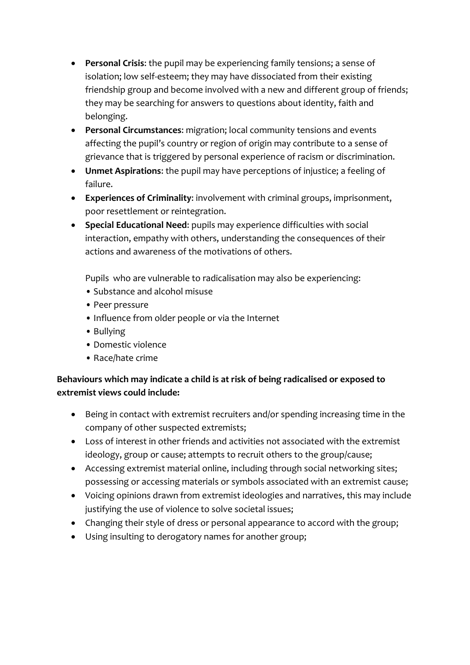- **Personal Crisis**: the pupil may be experiencing family tensions; a sense of isolation; low self-esteem; they may have dissociated from their existing friendship group and become involved with a new and different group of friends; they may be searching for answers to questions about identity, faith and belonging.
- **Personal Circumstances**: migration; local community tensions and events affecting the pupil's country or region of origin may contribute to a sense of grievance that is triggered by personal experience of racism or discrimination.
- **Unmet Aspirations**: the pupil may have perceptions of injustice; a feeling of failure.
- **Experiences of Criminality**: involvement with criminal groups, imprisonment, poor resettlement or reintegration.
- **Special Educational Need**: pupils may experience difficulties with social interaction, empathy with others, understanding the consequences of their actions and awareness of the motivations of others.

Pupils who are vulnerable to radicalisation may also be experiencing:

- Substance and alcohol misuse
- Peer pressure
- Influence from older people or via the Internet
- Bullying
- Domestic violence
- Race/hate crime

## **Behaviours which may indicate a child is at risk of being radicalised or exposed to extremist views could include:**

- Being in contact with extremist recruiters and/or spending increasing time in the company of other suspected extremists;
- Loss of interest in other friends and activities not associated with the extremist ideology, group or cause; attempts to recruit others to the group/cause;
- Accessing extremist material online, including through social networking sites; possessing or accessing materials or symbols associated with an extremist cause;
- Voicing opinions drawn from extremist ideologies and narratives, this may include justifying the use of violence to solve societal issues;
- Changing their style of dress or personal appearance to accord with the group;
- Using insulting to derogatory names for another group;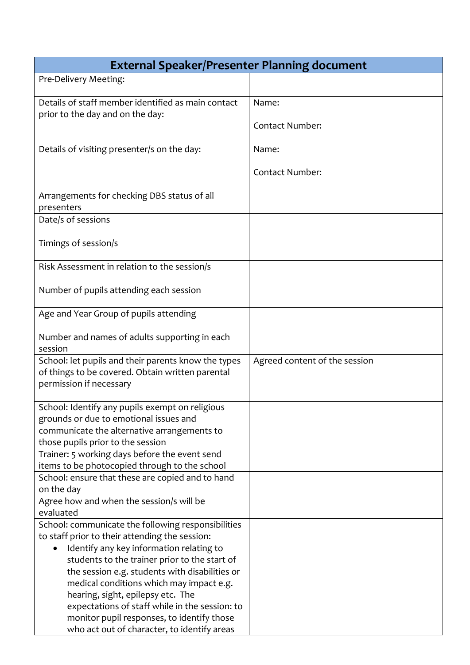| <b>External Speaker/Presenter Planning document</b>                                                                                                                                                                                                                                                                                                                                    |                               |  |
|----------------------------------------------------------------------------------------------------------------------------------------------------------------------------------------------------------------------------------------------------------------------------------------------------------------------------------------------------------------------------------------|-------------------------------|--|
| Pre-Delivery Meeting:                                                                                                                                                                                                                                                                                                                                                                  |                               |  |
| Details of staff member identified as main contact                                                                                                                                                                                                                                                                                                                                     | Name:                         |  |
| prior to the day and on the day:                                                                                                                                                                                                                                                                                                                                                       | <b>Contact Number:</b>        |  |
| Details of visiting presenter/s on the day:                                                                                                                                                                                                                                                                                                                                            | Name:                         |  |
|                                                                                                                                                                                                                                                                                                                                                                                        | <b>Contact Number:</b>        |  |
| Arrangements for checking DBS status of all<br>presenters                                                                                                                                                                                                                                                                                                                              |                               |  |
| Date/s of sessions                                                                                                                                                                                                                                                                                                                                                                     |                               |  |
| Timings of session/s                                                                                                                                                                                                                                                                                                                                                                   |                               |  |
| Risk Assessment in relation to the session/s                                                                                                                                                                                                                                                                                                                                           |                               |  |
| Number of pupils attending each session                                                                                                                                                                                                                                                                                                                                                |                               |  |
| Age and Year Group of pupils attending                                                                                                                                                                                                                                                                                                                                                 |                               |  |
| Number and names of adults supporting in each<br>session                                                                                                                                                                                                                                                                                                                               |                               |  |
| School: let pupils and their parents know the types<br>of things to be covered. Obtain written parental<br>permission if necessary                                                                                                                                                                                                                                                     | Agreed content of the session |  |
| School: Identify any pupils exempt on religious<br>grounds or due to emotional issues and<br>communicate the alternative arrangements to<br>those pupils prior to the session                                                                                                                                                                                                          |                               |  |
| Trainer: 5 working days before the event send                                                                                                                                                                                                                                                                                                                                          |                               |  |
| items to be photocopied through to the school<br>School: ensure that these are copied and to hand                                                                                                                                                                                                                                                                                      |                               |  |
| on the day<br>Agree how and when the session/s will be<br>evaluated                                                                                                                                                                                                                                                                                                                    |                               |  |
| School: communicate the following responsibilities<br>to staff prior to their attending the session:<br>Identify any key information relating to<br>students to the trainer prior to the start of<br>the session e.g. students with disabilities or<br>medical conditions which may impact e.g.<br>hearing, sight, epilepsy etc. The<br>expectations of staff while in the session: to |                               |  |
| monitor pupil responses, to identify those<br>who act out of character, to identify areas                                                                                                                                                                                                                                                                                              |                               |  |